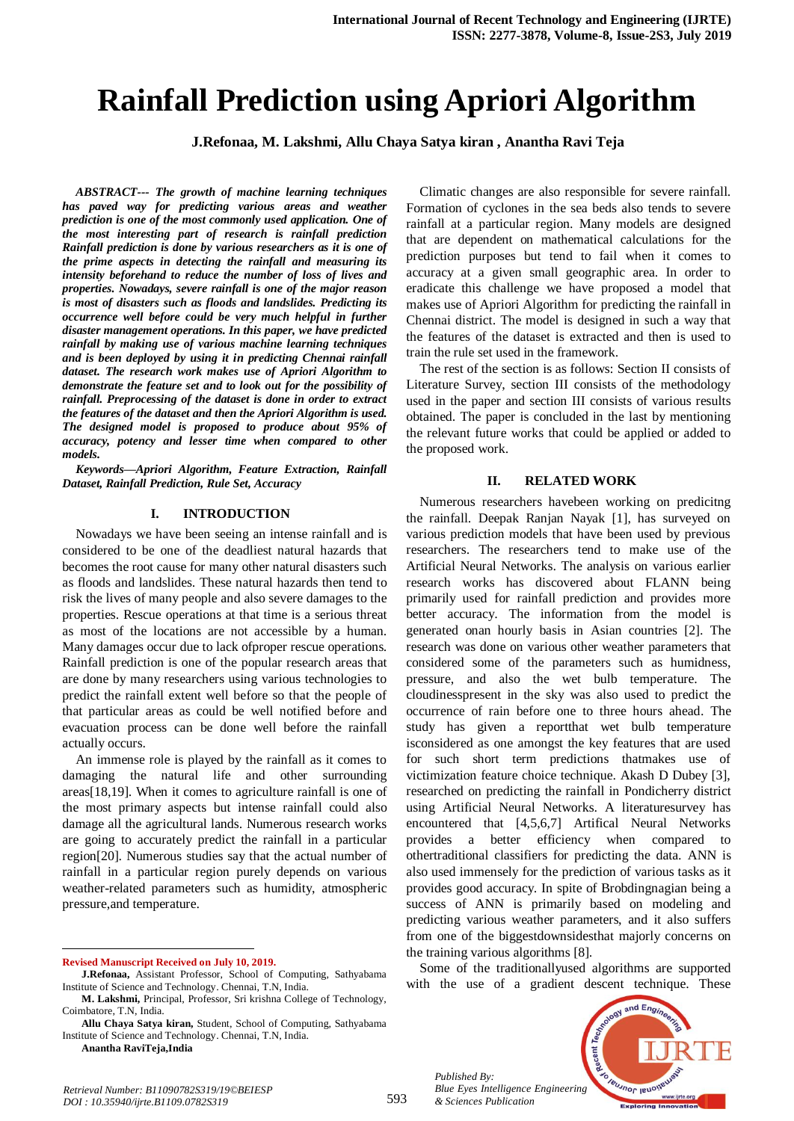# **Rainfall Prediction using Apriori Algorithm**

**J.Refonaa, M. Lakshmi, Allu Chaya Satya kiran , Anantha Ravi Teja**

*ABSTRACT--- The growth of machine learning techniques has paved way for predicting various areas and weather prediction is one of the most commonly used application. One of the most interesting part of research is rainfall prediction Rainfall prediction is done by various researchers as it is one of the prime aspects in detecting the rainfall and measuring its intensity beforehand to reduce the number of loss of lives and properties. Nowadays, severe rainfall is one of the major reason is most of disasters such as floods and landslides. Predicting its occurrence well before could be very much helpful in further disaster management operations. In this paper, we have predicted rainfall by making use of various machine learning techniques and is been deployed by using it in predicting Chennai rainfall dataset. The research work makes use of Apriori Algorithm to demonstrate the feature set and to look out for the possibility of rainfall. Preprocessing of the dataset is done in order to extract the features of the dataset and then the Apriori Algorithm is used. The designed model is proposed to produce about 95% of accuracy, potency and lesser time when compared to other models.*

*Keywords—Apriori Algorithm, Feature Extraction, Rainfall Dataset, Rainfall Prediction, Rule Set, Accuracy*

### **I. INTRODUCTION**

Nowadays we have been seeing an intense rainfall and is considered to be one of the deadliest natural hazards that becomes the root cause for many other natural disasters such as floods and landslides. These natural hazards then tend to risk the lives of many people and also severe damages to the properties. Rescue operations at that time is a serious threat as most of the locations are not accessible by a human. Many damages occur due to lack ofproper rescue operations. Rainfall prediction is one of the popular research areas that are done by many researchers using various technologies to predict the rainfall extent well before so that the people of that particular areas as could be well notified before and evacuation process can be done well before the rainfall actually occurs.

An immense role is played by the rainfall as it comes to damaging the natural life and other surrounding areas[18,19]. When it comes to agriculture rainfall is one of the most primary aspects but intense rainfall could also damage all the agricultural lands. Numerous research works are going to accurately predict the rainfall in a particular region[20]. Numerous studies say that the actual number of rainfall in a particular region purely depends on various weather-related parameters such as humidity, atmospheric pressure,and temperature.

**Revised Manuscript Received on July 10, 2019.**

**Anantha RaviTeja,India**

 $\overline{a}$ 

Climatic changes are also responsible for severe rainfall. Formation of cyclones in the sea beds also tends to severe rainfall at a particular region. Many models are designed that are dependent on mathematical calculations for the prediction purposes but tend to fail when it comes to accuracy at a given small geographic area. In order to eradicate this challenge we have proposed a model that makes use of Apriori Algorithm for predicting the rainfall in Chennai district. The model is designed in such a way that the features of the dataset is extracted and then is used to train the rule set used in the framework.

The rest of the section is as follows: Section II consists of Literature Survey, section III consists of the methodology used in the paper and section III consists of various results obtained. The paper is concluded in the last by mentioning the relevant future works that could be applied or added to the proposed work.

#### **II. RELATED WORK**

Numerous researchers havebeen working on predicitng the rainfall. Deepak Ranjan Nayak [1], has surveyed on various prediction models that have been used by previous researchers. The researchers tend to make use of the Artificial Neural Networks. The analysis on various earlier research works has discovered about FLANN being primarily used for rainfall prediction and provides more better accuracy. The information from the model is generated onan hourly basis in Asian countries [2]. The research was done on various other weather parameters that considered some of the parameters such as humidness, pressure, and also the wet bulb temperature. The cloudinesspresent in the sky was also used to predict the occurrence of rain before one to three hours ahead. The study has given a reportthat wet bulb temperature isconsidered as one amongst the key features that are used for such short term predictions thatmakes use of victimization feature choice technique. Akash D Dubey [3], researched on predicting the rainfall in Pondicherry district using Artificial Neural Networks. A literaturesurvey has encountered that [4,5,6,7] Artifical Neural Networks provides a better efficiency when compared to othertraditional classifiers for predicting the data. ANN is also used immensely for the prediction of various tasks as it provides good accuracy. In spite of Brobdingnagian being a success of ANN is primarily based on modeling and predicting various weather parameters, and it also suffers from one of the biggestdownsidesthat majorly concerns on the training various algorithms [8].

Some of the traditionallyused algorithms are supported with the use of a gradient descent technique. These



*Published By: Blue Eyes Intelligence Engineering & Sciences Publication* 

**J.Refonaa,** Assistant Professor, School of Computing, Sathyabama Institute of Science and Technology. Chennai, T.N, India.

**M. Lakshmi,** Principal, Professor, Sri krishna College of Technology, Coimbatore, T.N, India.

**Allu Chaya Satya kiran,** Student, School of Computing, Sathyabama Institute of Science and Technology. Chennai, T.N, India.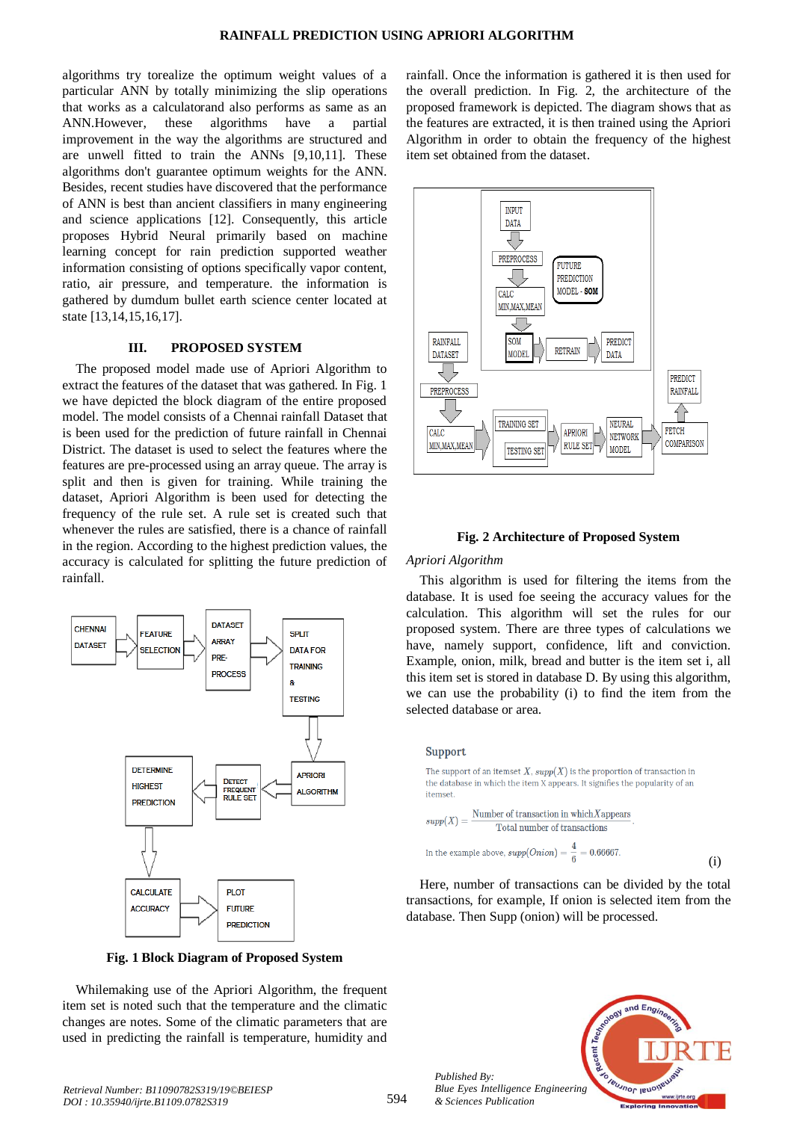algorithms try torealize the optimum weight values of a particular ANN by totally minimizing the slip operations that works as a calculatorand also performs as same as an ANN.However, these algorithms have a partial improvement in the way the algorithms are structured and are unwell fitted to train the ANNs [9,10,11]. These algorithms don't guarantee optimum weights for the ANN. Besides, recent studies have discovered that the performance of ANN is best than ancient classifiers in many engineering and science applications [12]. Consequently, this article proposes Hybrid Neural primarily based on machine learning concept for rain prediction supported weather information consisting of options specifically vapor content, ratio, air pressure, and temperature. the information is gathered by dumdum bullet earth science center located at state [13,14,15,16,17].

### **III. PROPOSED SYSTEM**

The proposed model made use of Apriori Algorithm to extract the features of the dataset that was gathered. In Fig. 1 we have depicted the block diagram of the entire proposed model. The model consists of a Chennai rainfall Dataset that is been used for the prediction of future rainfall in Chennai District. The dataset is used to select the features where the features are pre-processed using an array queue. The array is split and then is given for training. While training the dataset, Apriori Algorithm is been used for detecting the frequency of the rule set. A rule set is created such that whenever the rules are satisfied, there is a chance of rainfall in the region. According to the highest prediction values, the accuracy is calculated for splitting the future prediction of rainfall.



**Fig. 1 Block Diagram of Proposed System**

Whilemaking use of the Apriori Algorithm, the frequent item set is noted such that the temperature and the climatic changes are notes. Some of the climatic parameters that are used in predicting the rainfall is temperature, humidity and

rainfall. Once the information is gathered it is then used for the overall prediction. In Fig. 2, the architecture of the proposed framework is depicted. The diagram shows that as the features are extracted, it is then trained using the Apriori Algorithm in order to obtain the frequency of the highest item set obtained from the dataset.



### **Fig. 2 Architecture of Proposed System**

### *Apriori Algorithm*

This algorithm is used for filtering the items from the database. It is used foe seeing the accuracy values for the calculation. This algorithm will set the rules for our proposed system. There are three types of calculations we have, namely support, confidence, lift and conviction. Example, onion, milk, bread and butter is the item set i, all this item set is stored in database D. By using this algorithm, we can use the probability (i) to find the item from the selected database or area.

### Support

 $\bar{1}$ 

The support of an itemset X,  $supp(X)$  is the proportion of transaction in the database in which the item X appears. It signifies the popularity of an itemset. Number of transaction in which  $X$  appears  $supp(X) =$ 

Total number of transactions  
in the example above, 
$$
supp(Onion) = \frac{4}{6} = 0.66667
$$
.

Here, number of transactions can be divided by the total transactions, for example, If onion is selected item from the database. Then Supp (onion) will be processed.



(i)

*Published By:*

*& Sciences Publication*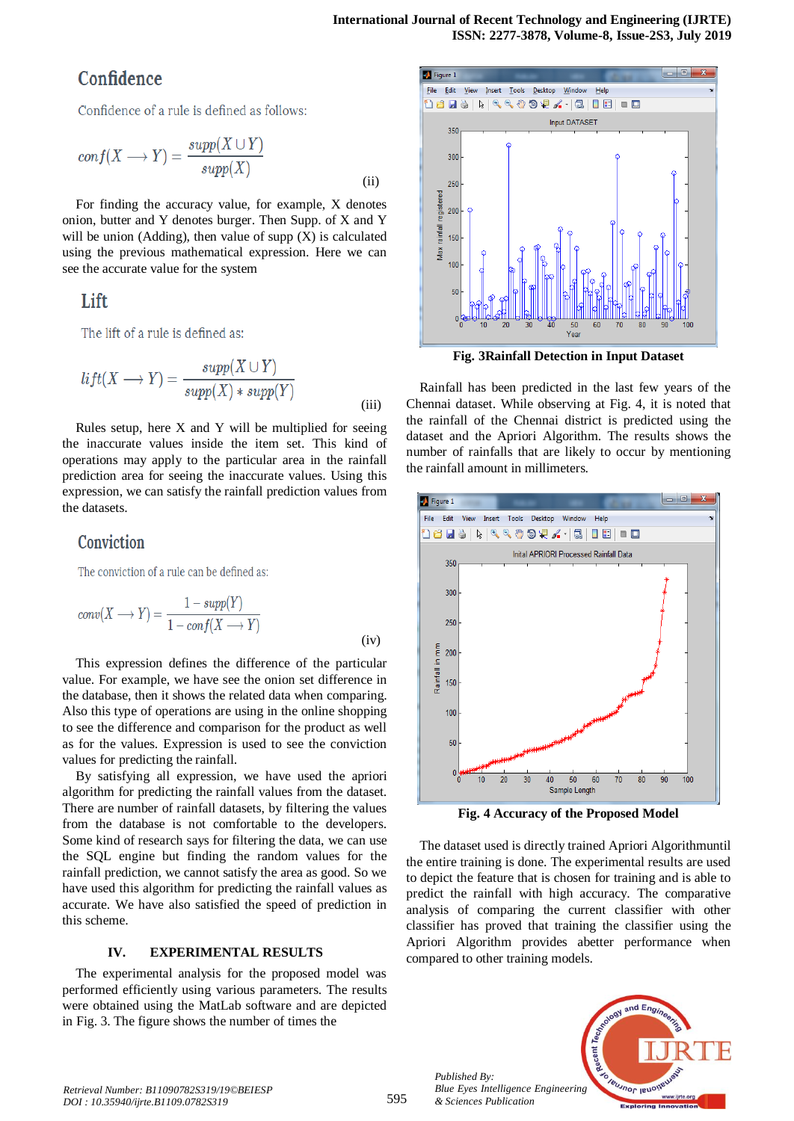# Confidence

Confidence of a rule is defined as follows:

$$
conf(X \longrightarrow Y) = \frac{supp(X \cup Y)}{supp(X)}
$$
(ii)

For finding the accuracy value, for example, X denotes onion, butter and Y denotes burger. Then Supp. of X and Y will be union (Adding), then value of supp  $(X)$  is calculated using the previous mathematical expression. Here we can see the accurate value for the system

# Lift

The lift of a rule is defined as:

$$
lift(X \longrightarrow Y) = \frac{supp(X \cup Y)}{supp(X) * supp(Y)}
$$
(iii)

Rules setup, here X and Y will be multiplied for seeing the inaccurate values inside the item set. This kind of operations may apply to the particular area in the rainfall prediction area for seeing the inaccurate values. Using this expression, we can satisfy the rainfall prediction values from the datasets.

## Conviction

The conviction of a rule can be defined as:

$$
conv(X \longrightarrow Y) = \frac{1 - supp(Y)}{1 - conf(X \longrightarrow Y)}
$$
 (iv)

This expression defines the difference of the particular value. For example, we have see the onion set difference in the database, then it shows the related data when comparing. Also this type of operations are using in the online shopping to see the difference and comparison for the product as well as for the values. Expression is used to see the conviction values for predicting the rainfall.

By satisfying all expression, we have used the apriori algorithm for predicting the rainfall values from the dataset. There are number of rainfall datasets, by filtering the values from the database is not comfortable to the developers. Some kind of research says for filtering the data, we can use the SQL engine but finding the random values for the rainfall prediction, we cannot satisfy the area as good. So we have used this algorithm for predicting the rainfall values as accurate. We have also satisfied the speed of prediction in this scheme.

### **IV. EXPERIMENTAL RESULTS**

The experimental analysis for the proposed model was performed efficiently using various parameters. The results were obtained using the MatLab software and are depicted in Fig. 3. The figure shows the number of times the



**Fig. 3Rainfall Detection in Input Dataset**

Rainfall has been predicted in the last few years of the Chennai dataset. While observing at Fig. 4, it is noted that the rainfall of the Chennai district is predicted using the dataset and the Apriori Algorithm. The results shows the number of rainfalls that are likely to occur by mentioning the rainfall amount in millimeters.



**Fig. 4 Accuracy of the Proposed Model**

The dataset used is directly trained Apriori Algorithmuntil the entire training is done. The experimental results are used to depict the feature that is chosen for training and is able to predict the rainfall with high accuracy. The comparative analysis of comparing the current classifier with other classifier has proved that training the classifier using the Apriori Algorithm provides abetter performance when compared to other training models.



*Published By:*

*& Sciences Publication*